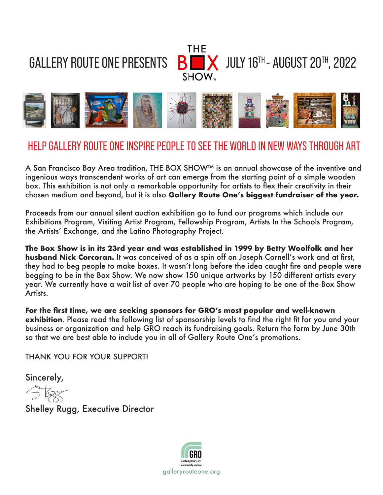GALLERY ROUTE ONE PRESENTS  $\overline{\mathbf{B}}$   $\overline{\mathbf{X}}$  JULY 16<sup>TH</sup> - AUGUST 20<sup>TH</sup>, 2022





## HELP GALLERY ROUTE ONE INSPIRE PEOPLE TO SEE THE WORLD IN NEW WAYS THROUGH ART

A San Francisco Bay Area tradition, THE BOX SHOW™ is an annual showcase of the inventive and ingenious ways transcendent works of art can emerge from the starting point of a simple wooden box. This exhibition is not only a remarkable opportunity for artists to flex their creativity in their chosen medium and beyond, but it is also **Gallery Route One's biggest fundraiser of the year.**

Proceeds from our annual silent auction exhibition go to fund our programs which include our Exhibitions Program, Visiting Artist Program, Fellowship Program, Artists In the Schools Program, the Artists' Exchange, and the Latino Photography Project.

**The Box Show is in its 23rd year and was established in 1999 by Betty Woolfolk and her husband Nick Corcoran.** It was conceived of as a spin off on Joseph Cornell's work and at first, they had to beg people to make boxes. It wasn't long before the idea caught fire and people were begging to be in the Box Show. We now show 150 unique artworks by 150 different artists every year. We currently have a wait list of over 70 people who are hoping to be one of the Box Show Artists.

**For the first time, we are seeking sponsors for GRO's most popular and well-known exhibition**. Please read the following list of sponsorship levels to find the right fit for you and your business or organization and help GRO reach its fundraising goals. Return the form by June 30th so that we are best able to include you in all of Gallery Route One's promotions.

THANK YOU FOR YOUR SUPPORT!

Sincerely,

Shelley Rugg, Executive Director

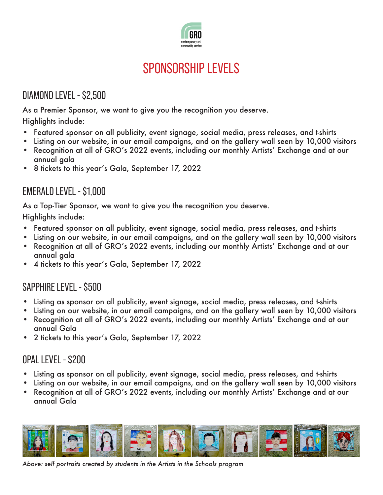

# SPONSORSHIP I FVFI S

## DIAMOND LEVEL - \$2,500

As a Premier Sponsor, we want to give you the recognition you deserve.

Highlights include:

- Featured sponsor on all publicity, event signage, social media, press releases, and t-shirts
- Listing on our website, in our email campaigns, and on the gallery wall seen by 10,000 visitors
- Recognition at all of GRO's 2022 events, including our monthly Artists' Exchange and at our annual gala
- 8 tickets to this year's Gala, September 17, 2022

#### EMERALD LEVEL - \$1,000

As a Top-Tier Sponsor, we want to give you the recognition you deserve.

Highlights include:

- Featured sponsor on all publicity, event signage, social media, press releases, and t-shirts
- Listing on our website, in our email campaigns, and on the gallery wall seen by 10,000 visitors
- Recognition at all of GRO's 2022 events, including our monthly Artists' Exchange and at our annual gala
- 4 tickets to this year's Gala, September 17, 2022

#### SAPPHIRE LEVEL - \$500

- Listing as sponsor on all publicity, event signage, social media, press releases, and t-shirts
- Listing on our website, in our email campaigns, and on the gallery wall seen by 10,000 visitors
- Recognition at all of GRO's 2022 events, including our monthly Artists' Exchange and at our annual Gala
- 2 tickets to this year's Gala, September 17, 2022

#### OPAL LEVEL - \$200

- Listing as sponsor on all publicity, event signage, social media, press releases, and t-shirts
- Listing on our website, in our email campaigns, and on the gallery wall seen by 10,000 visitors
- Recognition at all of GRO's 2022 events, including our monthly Artists' Exchange and at our annual Gala



*Above: self portraits created by students in the Artists in the Schools program*